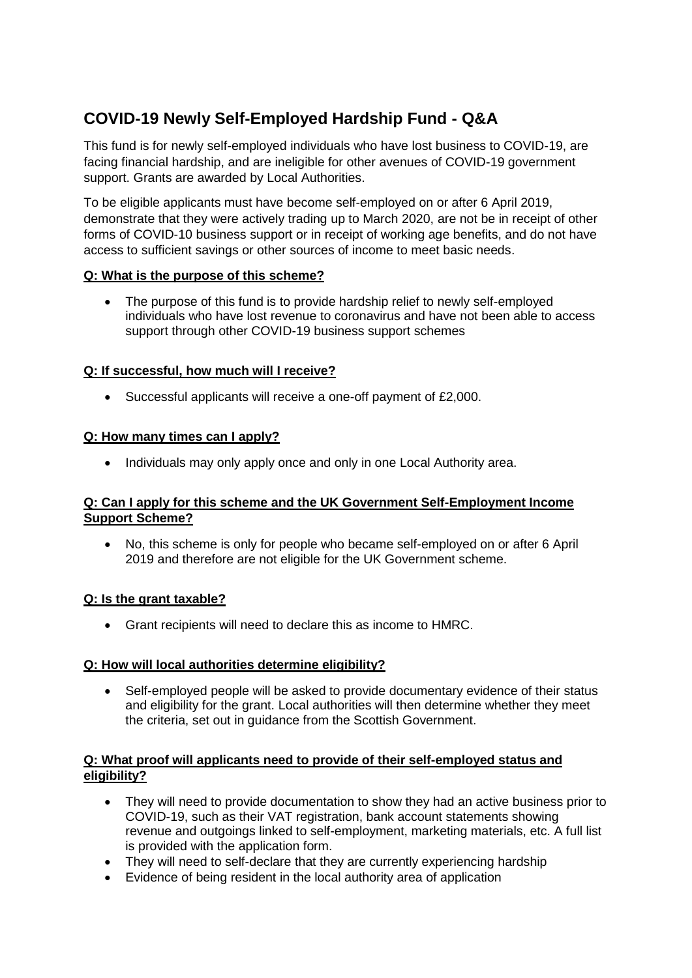# **COVID-19 Newly Self-Employed Hardship Fund - Q&A**

This fund is for newly self-employed individuals who have lost business to COVID-19, are facing financial hardship, and are ineligible for other avenues of COVID-19 government support. Grants are awarded by Local Authorities.

To be eligible applicants must have become self-employed on or after 6 April 2019, demonstrate that they were actively trading up to March 2020, are not be in receipt of other forms of COVID-10 business support or in receipt of working age benefits, and do not have access to sufficient savings or other sources of income to meet basic needs.

# **Q: What is the purpose of this scheme?**

• The purpose of this fund is to provide hardship relief to newly self-employed individuals who have lost revenue to coronavirus and have not been able to access support through other COVID-19 business support schemes

# **Q: If successful, how much will I receive?**

• Successful applicants will receive a one-off payment of £2,000.

# **Q: How many times can I apply?**

• Individuals may only apply once and only in one Local Authority area.

## **Q: Can I apply for this scheme and the UK Government Self-Employment Income Support Scheme?**

• No, this scheme is only for people who became self-employed on or after 6 April 2019 and therefore are not eligible for the UK Government scheme.

# **Q: Is the grant taxable?**

• Grant recipients will need to declare this as income to HMRC.

### **Q: How will local authorities determine eligibility?**

• Self-employed people will be asked to provide documentary evidence of their status and eligibility for the grant. Local authorities will then determine whether they meet the criteria, set out in guidance from the Scottish Government.

## **Q: What proof will applicants need to provide of their self-employed status and eligibility?**

- They will need to provide documentation to show they had an active business prior to COVID-19, such as their VAT registration, bank account statements showing revenue and outgoings linked to self-employment, marketing materials, etc. A full list is provided with the application form.
- They will need to self-declare that they are currently experiencing hardship
- Evidence of being resident in the local authority area of application